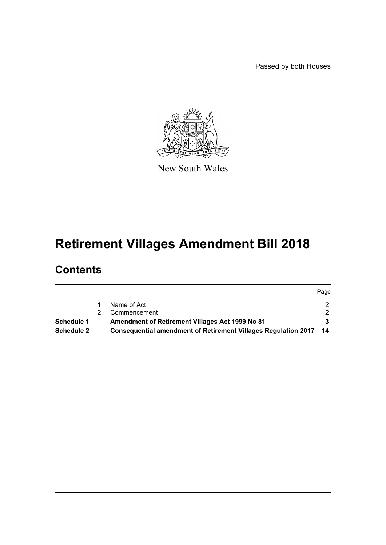Passed by both Houses



New South Wales

# **Retirement Villages Amendment Bill 2018**

## **Contents**

|            |                                                                   | Page          |
|------------|-------------------------------------------------------------------|---------------|
|            | Name of Act                                                       | 2.            |
|            | Commencement                                                      | $\mathcal{P}$ |
| Schedule 1 | Amendment of Retirement Villages Act 1999 No 81                   |               |
| Schedule 2 | Consequential amendment of Retirement Villages Regulation 2017 14 |               |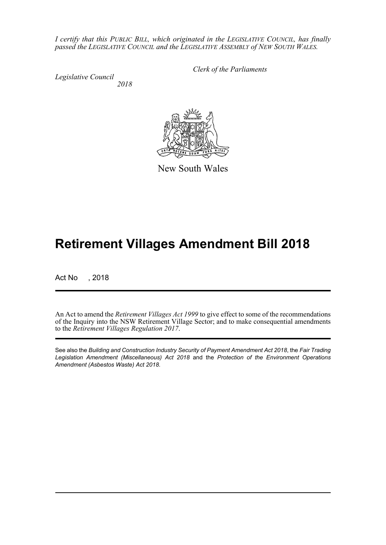*I certify that this PUBLIC BILL, which originated in the LEGISLATIVE COUNCIL, has finally passed the LEGISLATIVE COUNCIL and the LEGISLATIVE ASSEMBLY of NEW SOUTH WALES.*

*Legislative Council 2018* *Clerk of the Parliaments*



# **Retirement Villages Amendment Bill 2018**

Act No , 2018

An Act to amend the *Retirement Villages Act 1999* to give effect to some of the recommendations of the Inquiry into the NSW Retirement Village Sector; and to make consequential amendments to the *Retirement Villages Regulation 2017*.

See also the *Building and Construction Industry Security of Payment Amendment Act 2018*, the *Fair Trading Legislation Amendment (Miscellaneous) Act 2018* and the *Protection of the Environment Operations Amendment (Asbestos Waste) Act 2018*.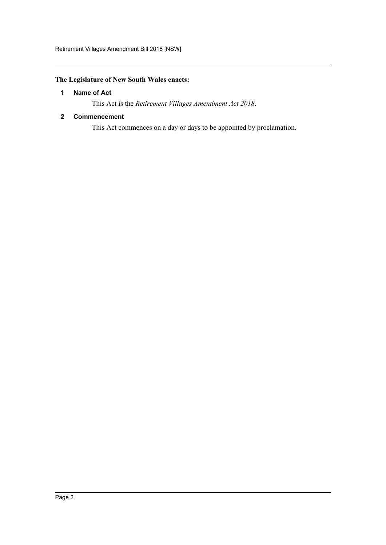## <span id="page-2-0"></span>**The Legislature of New South Wales enacts:**

## **1 Name of Act**

This Act is the *Retirement Villages Amendment Act 2018*.

#### <span id="page-2-1"></span>**2 Commencement**

This Act commences on a day or days to be appointed by proclamation.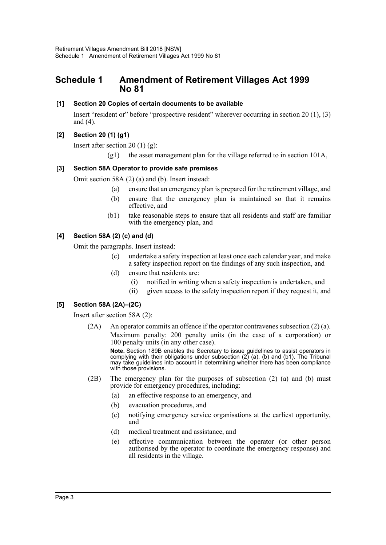## <span id="page-3-0"></span>**Schedule 1 Amendment of Retirement Villages Act 1999 No 81**

### **[1] Section 20 Copies of certain documents to be available**

Insert "resident or" before "prospective resident" wherever occurring in section 20 (1), (3) and (4).

## **[2] Section 20 (1) (g1)**

Insert after section 20  $(1)$   $(g)$ :

 $(g1)$  the asset management plan for the village referred to in section 101A,

## **[3] Section 58A Operator to provide safe premises**

Omit section 58A (2) (a) and (b). Insert instead:

- (a) ensure that an emergency plan is prepared for the retirement village, and
- (b) ensure that the emergency plan is maintained so that it remains effective, and
- (b1) take reasonable steps to ensure that all residents and staff are familiar with the emergency plan, and

#### **[4] Section 58A (2) (c) and (d)**

Omit the paragraphs. Insert instead:

- (c) undertake a safety inspection at least once each calendar year, and make a safety inspection report on the findings of any such inspection, and
- (d) ensure that residents are:
	- (i) notified in writing when a safety inspection is undertaken, and
	- (ii) given access to the safety inspection report if they request it, and

## **[5] Section 58A (2A)–(2C)**

Insert after section 58A (2):

(2A) An operator commits an offence if the operator contravenes subsection (2) (a). Maximum penalty: 200 penalty units (in the case of a corporation) or 100 penalty units (in any other case).

**Note.** Section 189B enables the Secretary to issue guidelines to assist operators in complying with their obligations under subsection (2) (a), (b) and (b1). The Tribunal may take guidelines into account in determining whether there has been compliance with those provisions.

- (2B) The emergency plan for the purposes of subsection (2) (a) and (b) must provide for emergency procedures, including:
	- (a) an effective response to an emergency, and
	- (b) evacuation procedures, and
	- (c) notifying emergency service organisations at the earliest opportunity, and
	- (d) medical treatment and assistance, and
	- (e) effective communication between the operator (or other person authorised by the operator to coordinate the emergency response) and all residents in the village.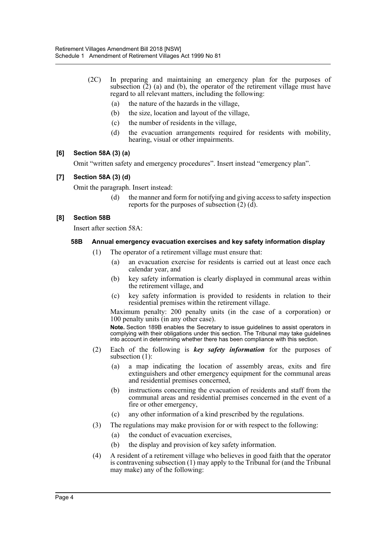- (2C) In preparing and maintaining an emergency plan for the purposes of subsection  $(2)$  (a) and (b), the operator of the retirement village must have regard to all relevant matters, including the following:
	- (a) the nature of the hazards in the village,
	- (b) the size, location and layout of the village,
	- (c) the number of residents in the village,
	- (d) the evacuation arrangements required for residents with mobility, hearing, visual or other impairments.

#### **[6] Section 58A (3) (a)**

Omit "written safety and emergency procedures". Insert instead "emergency plan".

## **[7] Section 58A (3) (d)**

Omit the paragraph. Insert instead:

(d) the manner and form for notifying and giving access to safety inspection reports for the purposes of subsection  $(2)$  (d).

#### **[8] Section 58B**

Insert after section 58A:

#### **58B Annual emergency evacuation exercises and key safety information display**

- (1) The operator of a retirement village must ensure that:
	- (a) an evacuation exercise for residents is carried out at least once each calendar year, and
	- (b) key safety information is clearly displayed in communal areas within the retirement village, and
	- (c) key safety information is provided to residents in relation to their residential premises within the retirement village.

Maximum penalty: 200 penalty units (in the case of a corporation) or 100 penalty units (in any other case).

**Note.** Section 189B enables the Secretary to issue guidelines to assist operators in complying with their obligations under this section. The Tribunal may take guidelines into account in determining whether there has been compliance with this section.

- (2) Each of the following is *key safety information* for the purposes of subsection (1):
	- (a) a map indicating the location of assembly areas, exits and fire extinguishers and other emergency equipment for the communal areas and residential premises concerned,
	- (b) instructions concerning the evacuation of residents and staff from the communal areas and residential premises concerned in the event of a fire or other emergency,
	- (c) any other information of a kind prescribed by the regulations.
- (3) The regulations may make provision for or with respect to the following:
	- (a) the conduct of evacuation exercises,
	- (b) the display and provision of key safety information.
- (4) A resident of a retirement village who believes in good faith that the operator is contravening subsection (1) may apply to the Tribunal for (and the Tribunal may make) any of the following: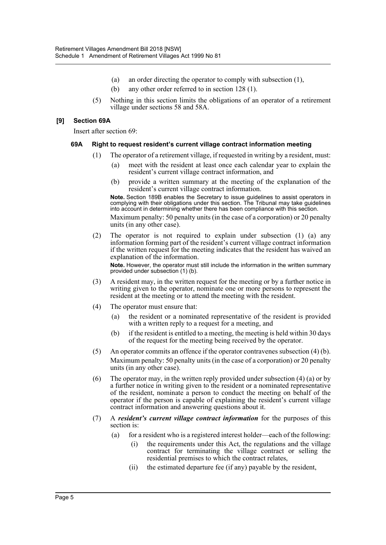- (a) an order directing the operator to comply with subsection (1),
- (b) any other order referred to in section 128 (1).
- (5) Nothing in this section limits the obligations of an operator of a retirement village under sections 58 and 58A.

#### **[9] Section 69A**

Insert after section 69:

#### **69A Right to request resident's current village contract information meeting**

- (1) The operator of a retirement village, if requested in writing by a resident, must:
	- (a) meet with the resident at least once each calendar year to explain the resident's current village contract information, and
	- (b) provide a written summary at the meeting of the explanation of the resident's current village contract information.

**Note.** Section 189B enables the Secretary to issue guidelines to assist operators in complying with their obligations under this section. The Tribunal may take guidelines into account in determining whether there has been compliance with this section.

Maximum penalty: 50 penalty units (in the case of a corporation) or 20 penalty units (in any other case).

(2) The operator is not required to explain under subsection (1) (a) any information forming part of the resident's current village contract information if the written request for the meeting indicates that the resident has waived an explanation of the information.

**Note.** However, the operator must still include the information in the written summary provided under subsection (1) (b).

- (3) A resident may, in the written request for the meeting or by a further notice in writing given to the operator, nominate one or more persons to represent the resident at the meeting or to attend the meeting with the resident.
- (4) The operator must ensure that:
	- (a) the resident or a nominated representative of the resident is provided with a written reply to a request for a meeting, and
	- (b) if the resident is entitled to a meeting, the meeting is held within 30 days of the request for the meeting being received by the operator.
- (5) An operator commits an offence if the operator contravenes subsection (4) (b). Maximum penalty: 50 penalty units (in the case of a corporation) or 20 penalty units (in any other case).
- (6) The operator may, in the written reply provided under subsection (4) (a) or by a further notice in writing given to the resident or a nominated representative of the resident, nominate a person to conduct the meeting on behalf of the operator if the person is capable of explaining the resident's current village contract information and answering questions about it.
- (7) A *resident's current village contract information* for the purposes of this section is:
	- (a) for a resident who is a registered interest holder—each of the following:
		- (i) the requirements under this Act, the regulations and the village contract for terminating the village contract or selling the residential premises to which the contract relates,
		- (ii) the estimated departure fee (if any) payable by the resident,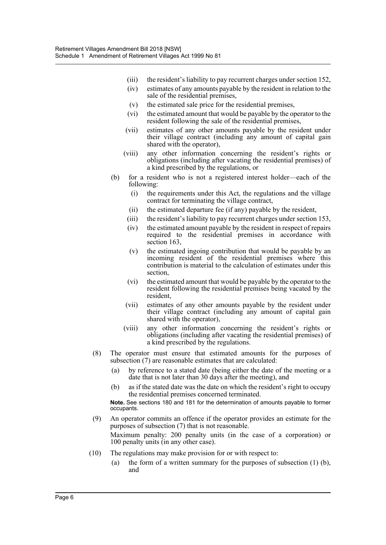- (iii) the resident's liability to pay recurrent charges under section 152,
- (iv) estimates of any amounts payable by the resident in relation to the sale of the residential premises,
- (v) the estimated sale price for the residential premises,
- (vi) the estimated amount that would be payable by the operator to the resident following the sale of the residential premises,
- (vii) estimates of any other amounts payable by the resident under their village contract (including any amount of capital gain shared with the operator),
- (viii) any other information concerning the resident's rights or obligations (including after vacating the residential premises) of a kind prescribed by the regulations, or
- (b) for a resident who is not a registered interest holder—each of the following:
	- (i) the requirements under this Act, the regulations and the village contract for terminating the village contract,
	- (ii) the estimated departure fee (if any) payable by the resident,
	- (iii) the resident's liability to pay recurrent charges under section 153,
	- (iv) the estimated amount payable by the resident in respect of repairs required to the residential premises in accordance with section 163.
	- (v) the estimated ingoing contribution that would be payable by an incoming resident of the residential premises where this contribution is material to the calculation of estimates under this section,
	- (vi) the estimated amount that would be payable by the operator to the resident following the residential premises being vacated by the resident,
	- (vii) estimates of any other amounts payable by the resident under their village contract (including any amount of capital gain shared with the operator),
	- (viii) any other information concerning the resident's rights or obligations (including after vacating the residential premises) of a kind prescribed by the regulations.
- (8) The operator must ensure that estimated amounts for the purposes of subsection (7) are reasonable estimates that are calculated:
	- (a) by reference to a stated date (being either the date of the meeting or a date that is not later than 30 days after the meeting), and
	- (b) as if the stated date was the date on which the resident's right to occupy the residential premises concerned terminated.

**Note.** See sections 180 and 181 for the determination of amounts payable to former occupants.

- (9) An operator commits an offence if the operator provides an estimate for the purposes of subsection (7) that is not reasonable. Maximum penalty: 200 penalty units (in the case of a corporation) or 100 penalty units (in any other case).
- (10) The regulations may make provision for or with respect to:
	- (a) the form of a written summary for the purposes of subsection (1) (b), and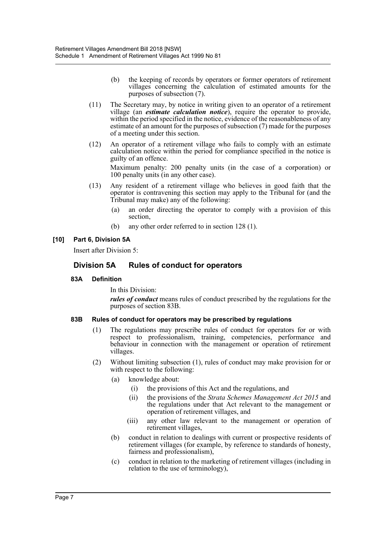- (b) the keeping of records by operators or former operators of retirement villages concerning the calculation of estimated amounts for the purposes of subsection (7).
- (11) The Secretary may, by notice in writing given to an operator of a retirement village (an *estimate calculation notice*), require the operator to provide, within the period specified in the notice, evidence of the reasonableness of any estimate of an amount for the purposes of subsection (7) made for the purposes of a meeting under this section.
- (12) An operator of a retirement village who fails to comply with an estimate calculation notice within the period for compliance specified in the notice is guilty of an offence.

Maximum penalty: 200 penalty units (in the case of a corporation) or 100 penalty units (in any other case).

- (13) Any resident of a retirement village who believes in good faith that the operator is contravening this section may apply to the Tribunal for (and the Tribunal may make) any of the following:
	- (a) an order directing the operator to comply with a provision of this section,
	- (b) any other order referred to in section 128 (1).

## **[10] Part 6, Division 5A**

Insert after Division 5:

## **Division 5A Rules of conduct for operators**

#### **83A Definition**

In this Division:

*rules of conduct* means rules of conduct prescribed by the regulations for the purposes of section 83B.

#### **83B Rules of conduct for operators may be prescribed by regulations**

- (1) The regulations may prescribe rules of conduct for operators for or with respect to professionalism, training, competencies, performance and behaviour in connection with the management or operation of retirement villages.
- (2) Without limiting subsection (1), rules of conduct may make provision for or with respect to the following:
	- (a) knowledge about:
		- (i) the provisions of this Act and the regulations, and
		- (ii) the provisions of the *Strata Schemes Management Act 2015* and the regulations under that Act relevant to the management or operation of retirement villages, and
		- (iii) any other law relevant to the management or operation of retirement villages,
	- (b) conduct in relation to dealings with current or prospective residents of retirement villages (for example, by reference to standards of honesty, fairness and professionalism),
	- (c) conduct in relation to the marketing of retirement villages (including in relation to the use of terminology),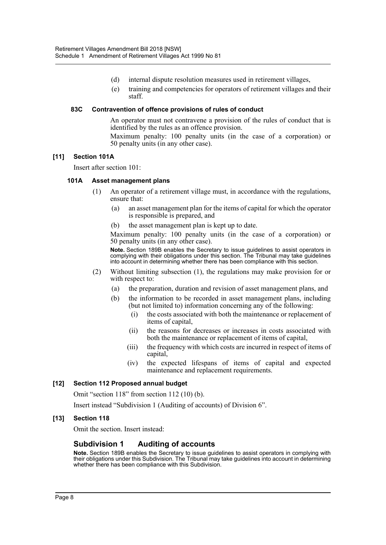- (d) internal dispute resolution measures used in retirement villages,
- (e) training and competencies for operators of retirement villages and their staff.

#### **83C Contravention of offence provisions of rules of conduct**

An operator must not contravene a provision of the rules of conduct that is identified by the rules as an offence provision.

Maximum penalty: 100 penalty units (in the case of a corporation) or 50 penalty units (in any other case).

#### **[11] Section 101A**

Insert after section 101:

#### **101A Asset management plans**

- (1) An operator of a retirement village must, in accordance with the regulations, ensure that:
	- (a) an asset management plan for the items of capital for which the operator is responsible is prepared, and
	- (b) the asset management plan is kept up to date.

Maximum penalty: 100 penalty units (in the case of a corporation) or 50 penalty units (in any other case).

**Note.** Section 189B enables the Secretary to issue guidelines to assist operators in complying with their obligations under this section. The Tribunal may take guidelines into account in determining whether there has been compliance with this section.

- (2) Without limiting subsection (1), the regulations may make provision for or with respect to:
	- (a) the preparation, duration and revision of asset management plans, and
	- (b) the information to be recorded in asset management plans, including (but not limited to) information concerning any of the following:
		- (i) the costs associated with both the maintenance or replacement of items of capital,
		- (ii) the reasons for decreases or increases in costs associated with both the maintenance or replacement of items of capital,
		- (iii) the frequency with which costs are incurred in respect of items of capital,
		- (iv) the expected lifespans of items of capital and expected maintenance and replacement requirements.

## **[12] Section 112 Proposed annual budget**

Omit "section 118" from section 112 (10) (b).

Insert instead "Subdivision 1 (Auditing of accounts) of Division 6".

#### **[13] Section 118**

Omit the section. Insert instead:

## **Subdivision 1 Auditing of accounts**

**Note.** Section 189B enables the Secretary to issue guidelines to assist operators in complying with their obligations under this Subdivision. The Tribunal may take guidelines into account in determining whether there has been compliance with this Subdivision.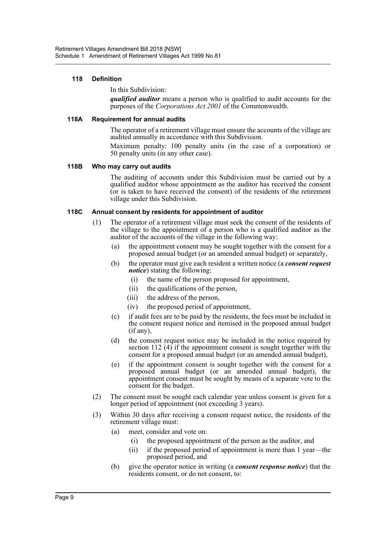#### **118 Definition**

#### In this Subdivision:

*qualified auditor* means a person who is qualified to audit accounts for the purposes of the *Corporations Act 2001* of the Commonwealth.

#### **118A Requirement for annual audits**

The operator of a retirement village must ensure the accounts of the village are audited annually in accordance with this Subdivision.

Maximum penalty: 100 penalty units (in the case of a corporation) or 50 penalty units (in any other case).

#### **118B Who may carry out audits**

The auditing of accounts under this Subdivision must be carried out by a qualified auditor whose appointment as the auditor has received the consent (or is taken to have received the consent) of the residents of the retirement village under this Subdivision.

#### **118C Annual consent by residents for appointment of auditor**

- (1) The operator of a retirement village must seek the consent of the residents of the village to the appointment of a person who is a qualified auditor as the auditor of the accounts of the village in the following way:
	- (a) the appointment consent may be sought together with the consent for a proposed annual budget (or an amended annual budget) or separately,
	- (b) the operator must give each resident a written notice (a *consent request notice*) stating the following:
		- (i) the name of the person proposed for appointment,
		- (ii) the qualifications of the person,
		- (iii) the address of the person,
		- (iv) the proposed period of appointment,
	- (c) if audit fees are to be paid by the residents, the fees must be included in the consent request notice and itemised in the proposed annual budget (if any),
	- (d) the consent request notice may be included in the notice required by section 112 (4) if the appointment consent is sought together with the consent for a proposed annual budget (or an amended annual budget),
	- (e) if the appointment consent is sought together with the consent for a proposed annual budget (or an amended annual budget), the appointment consent must be sought by means of a separate vote to the consent for the budget.
- (2) The consent must be sought each calendar year unless consent is given for a longer period of appointment (not exceeding 3 years).
- (3) Within 30 days after receiving a consent request notice, the residents of the retirement village must:
	- (a) meet, consider and vote on:
		- (i) the proposed appointment of the person as the auditor, and
		- (ii) if the proposed period of appointment is more than 1 year—the proposed period, and
	- (b) give the operator notice in writing (a *consent response notice*) that the residents consent, or do not consent, to: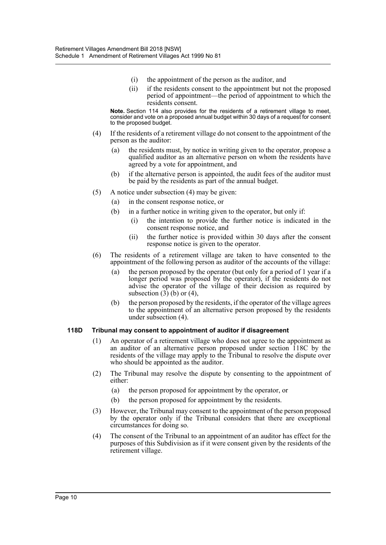- (i) the appointment of the person as the auditor, and
- (ii) if the residents consent to the appointment but not the proposed period of appointment—the period of appointment to which the residents consent.

**Note.** Section 114 also provides for the residents of a retirement village to meet, consider and vote on a proposed annual budget within 30 days of a request for consent to the proposed budget.

- (4) If the residents of a retirement village do not consent to the appointment of the person as the auditor:
	- (a) the residents must, by notice in writing given to the operator, propose a qualified auditor as an alternative person on whom the residents have agreed by a vote for appointment, and
	- (b) if the alternative person is appointed, the audit fees of the auditor must be paid by the residents as part of the annual budget.
- (5) A notice under subsection (4) may be given:
	- (a) in the consent response notice, or
	- (b) in a further notice in writing given to the operator, but only if:
		- (i) the intention to provide the further notice is indicated in the consent response notice, and
		- (ii) the further notice is provided within 30 days after the consent response notice is given to the operator.
- (6) The residents of a retirement village are taken to have consented to the appointment of the following person as auditor of the accounts of the village:
	- (a) the person proposed by the operator (but only for a period of 1 year if a longer period was proposed by the operator), if the residents do not advise the operator of the village of their decision as required by subsection  $(3)$  (b) or  $(4)$ ,
	- (b) the person proposed by the residents, if the operator of the village agrees to the appointment of an alternative person proposed by the residents under subsection (4).

#### **118D Tribunal may consent to appointment of auditor if disagreement**

- (1) An operator of a retirement village who does not agree to the appointment as an auditor of an alternative person proposed under section 118C by the residents of the village may apply to the Tribunal to resolve the dispute over who should be appointed as the auditor.
- (2) The Tribunal may resolve the dispute by consenting to the appointment of either:
	- (a) the person proposed for appointment by the operator, or
	- (b) the person proposed for appointment by the residents.
- (3) However, the Tribunal may consent to the appointment of the person proposed by the operator only if the Tribunal considers that there are exceptional circumstances for doing so.
- (4) The consent of the Tribunal to an appointment of an auditor has effect for the purposes of this Subdivision as if it were consent given by the residents of the retirement village.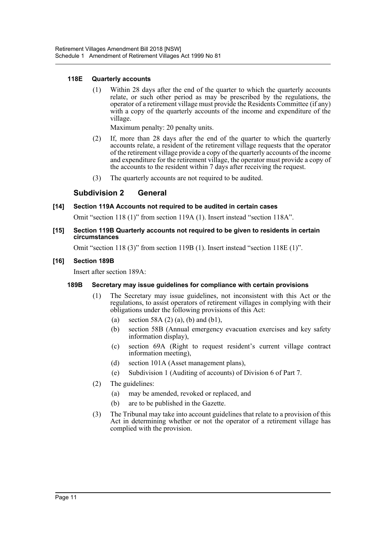#### **118E Quarterly accounts**

(1) Within 28 days after the end of the quarter to which the quarterly accounts relate, or such other period as may be prescribed by the regulations, the operator of a retirement village must provide the Residents Committee (if any) with a copy of the quarterly accounts of the income and expenditure of the village.

Maximum penalty: 20 penalty units.

- (2) If, more than 28 days after the end of the quarter to which the quarterly accounts relate, a resident of the retirement village requests that the operator of the retirement village provide a copy of the quarterly accounts of the income and expenditure for the retirement village, the operator must provide a copy of the accounts to the resident within 7 days after receiving the request.
- (3) The quarterly accounts are not required to be audited.

## **Subdivision 2 General**

#### **[14] Section 119A Accounts not required to be audited in certain cases**

Omit "section 118 (1)" from section 119A (1). Insert instead "section 118A".

**[15] Section 119B Quarterly accounts not required to be given to residents in certain circumstances**

Omit "section 118 (3)" from section 119B (1). Insert instead "section 118E (1)".

#### **[16] Section 189B**

Insert after section 189A:

#### **189B Secretary may issue guidelines for compliance with certain provisions**

- (1) The Secretary may issue guidelines, not inconsistent with this Act or the regulations, to assist operators of retirement villages in complying with their obligations under the following provisions of this Act:
	- (a) section 58A  $(2)$  (a), (b) and (b1),
	- (b) section 58B (Annual emergency evacuation exercises and key safety information display),
	- (c) section 69A (Right to request resident's current village contract information meeting),
	- (d) section 101A (Asset management plans),
	- (e) Subdivision 1 (Auditing of accounts) of Division 6 of Part 7.
- (2) The guidelines:
	- (a) may be amended, revoked or replaced, and
	- (b) are to be published in the Gazette.
- (3) The Tribunal may take into account guidelines that relate to a provision of this Act in determining whether or not the operator of a retirement village has complied with the provision.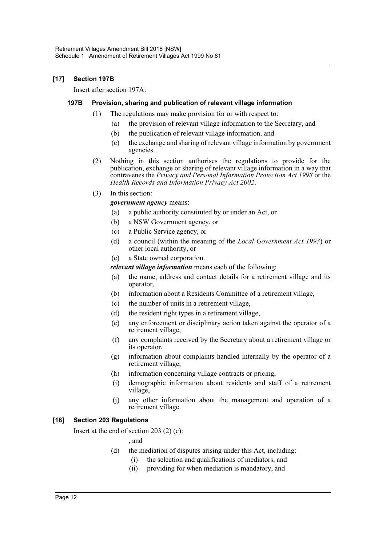### **[17] Section 197B**

Insert after section 197A:

#### **197B Provision, sharing and publication of relevant village information**

- (1) The regulations may make provision for or with respect to:
	- (a) the provision of relevant village information to the Secretary, and
	- (b) the publication of relevant village information, and
	- (c) the exchange and sharing of relevant village information by government agencies.
- (2) Nothing in this section authorises the regulations to provide for the publication, exchange or sharing of relevant village information in a way that contravenes the *Privacy and Personal Information Protection Act 1998* or the *Health Records and Information Privacy Act 2002*.
- (3) In this section:

*government agency* means:

- (a) a public authority constituted by or under an Act, or
- (b) a NSW Government agency, or
- (c) a Public Service agency, or
- (d) a council (within the meaning of the *Local Government Act 1993*) or other local authority, or
- (e) a State owned corporation.

*relevant village information* means each of the following:

- (a) the name, address and contact details for a retirement village and its operator,
- (b) information about a Residents Committee of a retirement village,
- (c) the number of units in a retirement village,
- (d) the resident right types in a retirement village,
- (e) any enforcement or disciplinary action taken against the operator of a retirement village,
- (f) any complaints received by the Secretary about a retirement village or its operator,
- (g) information about complaints handled internally by the operator of a retirement village,
- (h) information concerning village contracts or pricing,
- (i) demographic information about residents and staff of a retirement village,
- (j) any other information about the management and operation of a retirement village.

## **[18] Section 203 Regulations**

Insert at the end of section 203 (2) (c):

, and

- (d) the mediation of disputes arising under this Act, including:
	- (i) the selection and qualifications of mediators, and
	- (ii) providing for when mediation is mandatory, and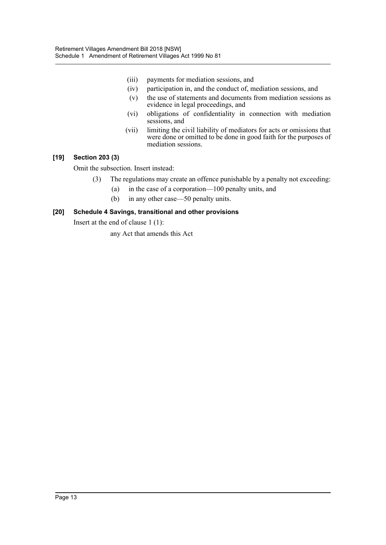- (iii) payments for mediation sessions, and
- (iv) participation in, and the conduct of, mediation sessions, and
- (v) the use of statements and documents from mediation sessions as evidence in legal proceedings, and
- (vi) obligations of confidentiality in connection with mediation sessions, and
- (vii) limiting the civil liability of mediators for acts or omissions that were done or omitted to be done in good faith for the purposes of mediation sessions.

#### **[19] Section 203 (3)**

Omit the subsection. Insert instead:

- (3) The regulations may create an offence punishable by a penalty not exceeding:
	- (a) in the case of a corporation—100 penalty units, and
	- (b) in any other case—50 penalty units.

## **[20] Schedule 4 Savings, transitional and other provisions**

Insert at the end of clause 1 (1):

any Act that amends this Act